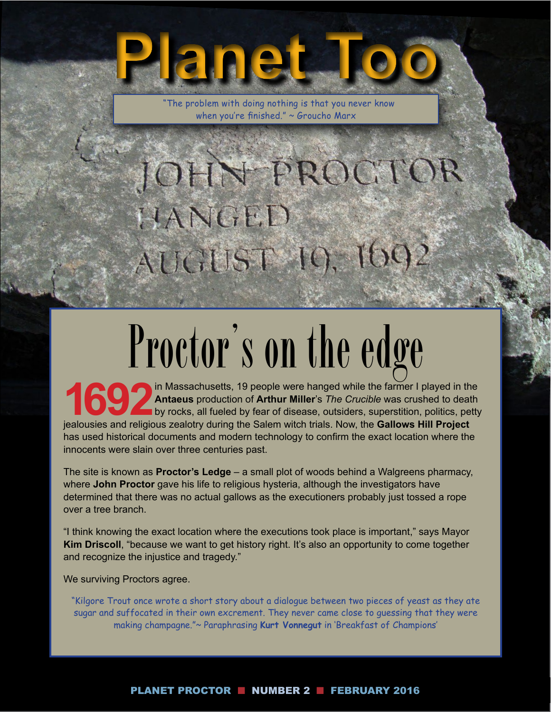"The problem with doing nothing is that you never know when you're finished." ~ Groucho Marx

**Planet Too**

## JOHN-FROCTOR HANGED AUCTUST 10, 1602

# **Proctor's on the edge**

in Massachusetts, 19 people were hanged while the farmer I played in the **Antaeus** production of **Arthur Miller**'s *The Crucible* was crushed to death by rocks, all fueled by fear of disease, outsiders, superstition, polit **Antaeus** production of **Arthur Miller**'s *The Crucible* was crushed to death by rocks, all fueled by fear of disease, outsiders, superstition, politics, petty jealousies and religious zealotry during the Salem witch trials. Now, the **Gallows Hill Project** has used historical documents and modern technology to confirm the exact location where the innocents were slain over three centuries past.

The site is known as **Proctor's Ledge** – a small plot of woods behind a Walgreens pharmacy, where **John Proctor** gave his life to religious hysteria, although the investigators have determined that there was no actual gallows as the executioners probably just tossed a rope over a tree branch.

"I think knowing the exact location where the executions took place is important," says Mayor **Kim Driscoll**, "because we want to get history right. It's also an opportunity to come together and recognize the injustice and tragedy."

We surviving Proctors agree.

"Kilgore Trout once wrote a short story about a dialogue between two pieces of yeast as they ate sugar and suffocated in their own excrement. They never came close to guessing that they were making champagne."~ Paraphrasing **Kurt Vonnegut** in 'Breakfast of Champions'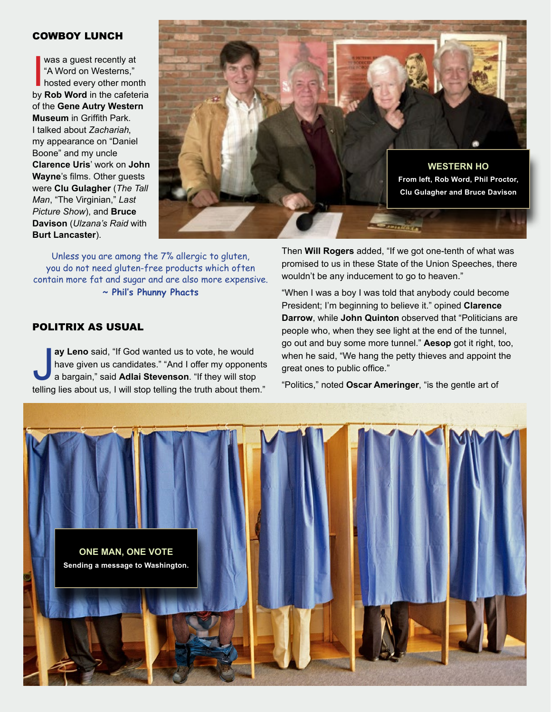#### COWBOY LUNCH

was a guest recently at<br>
"A Word on Westerns,"<br>
hosted every other month<br>
by **Rob Word** in the cafeteria was a guest recently at "A Word on Westerns," hosted every other month of the **Gene Autry Western Museum** in Griffith Park. I talked about *Zachariah*, my appearance on "Daniel Boone" and my uncle **Clarence Uris**' work on **John Wayne**'s films. Other guests were **Clu Gulagher** (*The Tall Man*, "The Virginian," *Last Picture Show*), and **Bruce Davison** (*Ulzana's Raid* with **Burt Lancaster**).



Unless you are among the 7% allergic to gluten, you do not need gluten-free products which often contain more fat and sugar and are also more expensive. **~ Phil's Phunny Phacts** 

#### POLITRIX AS USUAL

ay Leno said, "If God wanted us to vote, he would<br>have given us candidates." "And I offer my opponents<br>a bargain," said Adlai Stevenson. "If they will stop<br>telling lies about us, I will stop telling the truth about them." **ay Leno** said, "If God wanted us to vote, he would have given us candidates." "And I offer my opponents a bargain," said **Adlai Stevenson**. "If they will stop

Then **Will Rogers** added, "If we got one-tenth of what was promised to us in these State of the Union Speeches, there wouldn't be any inducement to go to heaven."

"When I was a boy I was told that anybody could become President; I'm beginning to believe it." opined **Clarence Darrow**, while **John Quinton** observed that "Politicians are people who, when they see light at the end of the tunnel, go out and buy some more tunnel." **Aesop** got it right, too, when he said, "We hang the petty thieves and appoint the great ones to public office."

"Politics," noted **Oscar Ameringer**, "is the gentle art of

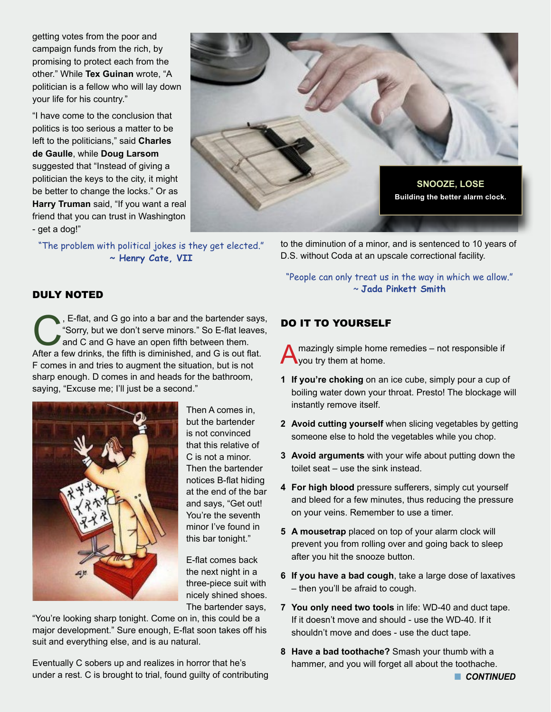getting votes from the poor and campaign funds from the rich, by promising to protect each from the other." While **Tex Guinan** wrote, "A politician is a fellow who will lay down your life for his country."

"I have come to the conclusion that politics is too serious a matter to be left to the politicians," said **Charles de Gaulle**, while **Doug Larsom** suggested that "Instead of giving a politician the keys to the city, it might be better to change the locks." Or as **Harry Truman** said, "If you want a real friend that you can trust in Washington - get a dog!"

"The problem with political jokes is they get elected." **~ Henry Cate, VII**



to the diminution of a minor, and is sentenced to 10 years of D.S. without Coda at an upscale correctional facility.

"People can only treat us in the way in which we allow." ~ **Jada Pinkett Smith**

#### DULY NOTED

E-flat, and G go into a bar and the bartender says,<br>
"Sorry, but we don't serve minors." So E-flat leaves,<br>
and C and G have an open fifth between them.<br>
After a few drinks, the fifth is diminished, and G is out flat. "Sorry, but we don't serve minors." So E-flat leaves, and C and G have an open fifth between them. After a few drinks, the fifth is diminished, and G is out flat. F comes in and tries to augment the situation, but is not sharp enough. D comes in and heads for the bathroom, saying, "Excuse me; I'll just be a second."



Then A comes in, but the bartender is not convinced that this relative of C is not a minor. Then the bartender notices B-flat hiding at the end of the bar and says, "Get out! You're the seventh minor I've found in this bar tonight."

E-flat comes back the next night in a three-piece suit with nicely shined shoes. The bartender says,

"You're looking sharp tonight. Come on in, this could be a major development." Sure enough, E-flat soon takes off his suit and everything else, and is au natural.

Eventually C sobers up and realizes in horror that he's under a rest. C is brought to trial, found guilty of contributing

#### DO IT TO YOURSELF

mazingly simple home remedies - not responsible if you try them at home.

- **1 If you're choking** on an ice cube, simply pour a cup of boiling water down your throat. Presto! The blockage will instantly remove itself.
- **2 Avoid cutting yourself** when slicing vegetables by getting someone else to hold the vegetables while you chop.
- **3 Avoid arguments** with your wife about putting down the toilet seat – use the sink instead.
- **4 For high blood** pressure sufferers, simply cut yourself and bleed for a few minutes, thus reducing the pressure on your veins. Remember to use a timer.
- **5 A mousetrap** placed on top of your alarm clock will prevent you from rolling over and going back to sleep after you hit the snooze button.
- **6 If you have a bad cough**, take a large dose of laxatives – then you'll be afraid to cough.
- **7 You only need two tools** in life: WD-40 and duct tape. If it doesn't move and should - use the WD-40. If it shouldn't move and does - use the duct tape.
- **8 Have a bad toothache?** Smash your thumb with a hammer, and you will forget all about the toothache.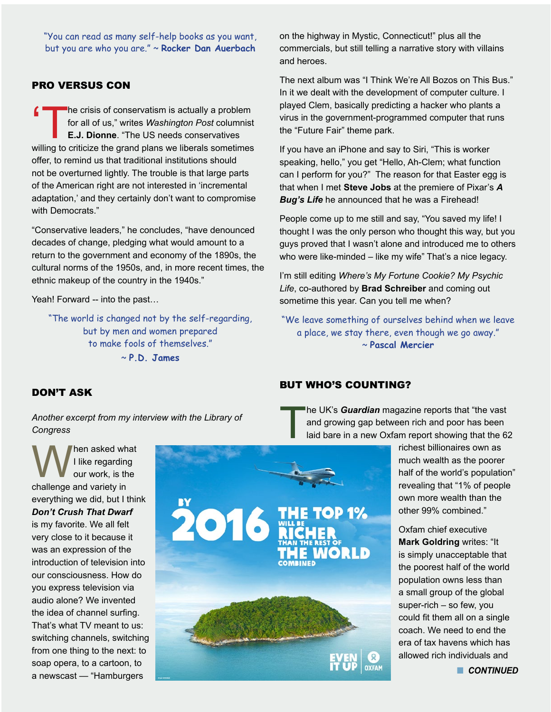"You can read as many self-help books as you want, but you are who you are." ~ **Rocker Dan Auerbach**

#### PRO VERSUS CON

The crisis of conservatism is actually a problem<br>
for all of us," writes *Washington Post* columnist<br> **E.J. Dionne**. "The US needs conservatives<br>
willing to criticize the grand plans we liberals sometimes for all of us," writes *Washington Post* columnist **E.J. Dionne**. "The US needs conservatives willing to criticize the grand plans we liberals sometimes offer, to remind us that traditional institutions should not be overturned lightly. The trouble is that large parts of the American right are not interested in 'incremental adaptation,' and they certainly don't want to compromise with Democrats."

"Conservative leaders," he concludes, "have denounced decades of change, pledging what would amount to a return to the government and economy of the 1890s, the cultural norms of the 1950s, and, in more recent times, the ethnic makeup of the country in the 1940s."

Yeah! Forward -- into the past...

"The world is changed not by the self-regarding, but by men and women prepared to make fools of themselves."

~ **P.D. James**

on the highway in Mystic, Connecticut!" plus all the commercials, but still telling a narrative story with villains and heroes.

The next album was "I Think We're All Bozos on This Bus." In it we dealt with the development of computer culture. I played Clem, basically predicting a hacker who plants a virus in the government-programmed computer that runs the "Future Fair" theme park.

If you have an iPhone and say to Siri, "This is worker speaking, hello," you get "Hello, Ah-Clem; what function can I perform for you?" The reason for that Easter egg is that when I met **Steve Jobs** at the premiere of Pixar's *A Bug's Life* he announced that he was a Firehead!

People come up to me still and say, "You saved my life! I thought I was the only person who thought this way, but you guys proved that I wasn't alone and introduced me to others who were like-minded – like my wife" That's a nice legacy.

I'm still editing *Where's My Fortune Cookie? My Psychic Life*, co-authored by **Brad Schreiber** and coming out sometime this year. Can you tell me when?

"We leave something of ourselves behind when we leave a place, we stay there, even though we go away." ~ **Pascal Mercier**

#### DON'T ASK

*Another excerpt from my interview with the Library of Congress* 

**When asked what**<br>
I like regarding<br>
challenge and variety in I like regarding our work, is the everything we did, but I think *Don't Crush That Dwarf* is my favorite. We all felt very close to it because it was an expression of the introduction of television into our consciousness. How do you express television via audio alone? We invented the idea of channel surfing. That's what TV meant to us: switching channels, switching from one thing to the next: to soap opera, to a cartoon, to a newscast — "Hamburgers



#### BUT WHO'S COUNTING?

The UK's *Guardian* magazine reports that "the vast"<br>and growing gap between rich and poor has been<br>laid bare in a new Oxfam report showing that the 6: and growing gap between rich and poor has been laid bare in a new Oxfam report showing that the 62

richest billionaires own as much wealth as the poorer half of the world's population" revealing that "1% of people own more wealth than the other 99% combined."

Oxfam chief executive **Mark Goldring** writes: "It is simply unacceptable that the poorest half of the world population owns less than a small group of the global super-rich – so few, you could fit them all on a single coach. We need to end the era of tax havens which has allowed rich individuals and

**n** CONTINUED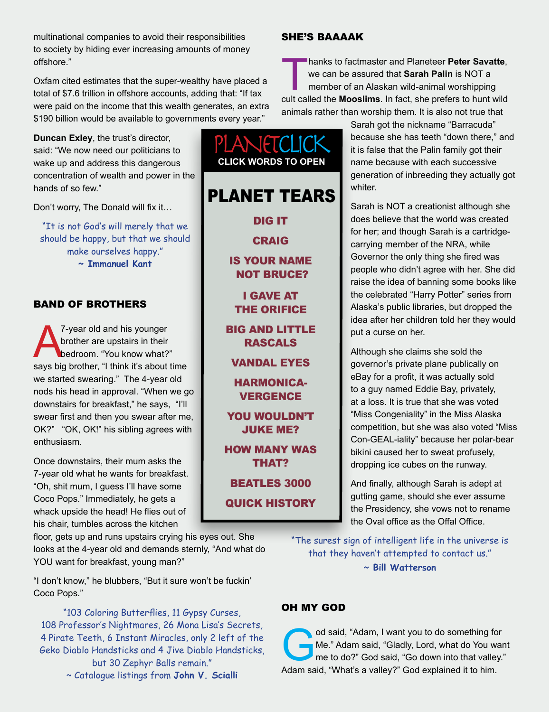multinational companies to avoid their responsibilities to society by hiding ever increasing amounts of money offshore."

Oxfam cited estimates that the super-wealthy have placed a total of \$7.6 trillion in offshore accounts, adding that: "If tax were paid on the income that this wealth generates, an extra \$190 billion would be available to governments every year."

**Duncan Exley**, the trust's director, said: "We now need our politicians to wake up and address this dangerous concentration of wealth and power in the hands of so few."

Don't worry, The Donald will fix it…

"It is not God's will merely that we should be happy, but that we should make ourselves happy." **~ Immanuel Kant**

#### BAND OF BROTHERS

7-year old and his younger<br>brother are upstairs in their<br>bedroom. "You know what?<br>says big brother. "I think it's about brother are upstairs in their bedroom. "You know what?" says big brother, "I think it's about time we started swearing." The 4-year old nods his head in approval. "When we go downstairs for breakfast," he says, "I'll swear first and then you swear after me, OK?" "OK, OK!" his sibling agrees with enthusiasm.

Once downstairs, their mum asks the 7-year old what he wants for breakfast. "Oh, shit mum, I guess I'll have some Coco Pops." Immediately, he gets a whack upside the head! He flies out of his chair, tumbles across the kitchen

floor, gets up and runs upstairs crying his eyes out. She looks at the 4-year old and demands sternly, "And what do YOU want for breakfast, young man?"

"I don't know," he blubbers, "But it sure won't be fuckin' Coco Pops."

"103 Coloring Butterflies, 11 Gypsy Curses, 108 Professor's Nightmares, 26 Mona Lisa's Secrets, 4 Pirate Teeth, 6 Instant Miracles, only 2 left of the Geko Diablo Handsticks and 4 Jive Diablo Handsticks, but 30 Zephyr Balls remain." ~ Catalogue listings from **John V. Scialli**

#### SHE'S BAAAAK

Thanks to factmaster and Planeteer **Peter Savatte**,<br>we can be assured that **Sarah Palin** is NOT a<br>member of an Alaskan wild-animal worshipping<br>cult called the **Mooslims** in fact, she prefers to bunt wild we can be assured that **Sarah Palin** is NOT a member of an Alaskan wild-animal worshipping cult called the **Mooslims**. In fact, she prefers to hunt wild animals rather than worship them. It is also not true that

> Sarah got the nickname "Barracuda" because she has teeth "down there," and it is false that the Palin family got their name because with each successive generation of inbreeding they actually got whiter.

> Sarah is NOT a creationist although she does believe that the world was created for her; and though Sarah is a cartridgecarrying member of the NRA, while Governor the only thing she fired was people who didn't agree with her. She did raise the idea of banning some books like the celebrated "Harry Potter" series from Alaska's public libraries, but dropped the idea after her children told her they would put a curse on her.

> Although she claims she sold the governor's private plane publically on eBay for a profit, it was actually sold to a guy named Eddie Bay, privately, at a loss. It is true that she was voted "Miss Congeniality" in the Miss Alaska competition, but she was also voted "Miss Con-GEAL-iality" because her polar-bear bikini caused her to sweat profusely, dropping ice cubes on the runway.

And finally, although Sarah is adept at gutting game, should she ever assume the Presidency, she vows not to rename the Oval office as the Offal Office.

"The surest sign of intelligent life in the universe is that they haven't attempted to contact us." **~ Bill Watterson**

#### OH MY GOD

od said, "Adam, I want you to do something for<br>Me." Adam said, "Gladly, Lord, what do You wan<br>me to do?" God said, "Go down into that valley."<br>Adam said, "What's a valley?" God explained it to bim Me." Adam said, "Gladly, Lord, what do You want me to do?" God said, "Go down into that valley." Adam said, "What's a valley?" God explained it to him.